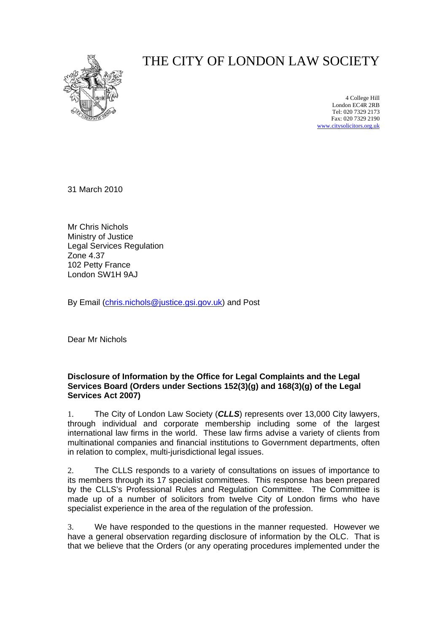

## THE CITY OF LONDON LAW SOCIETY

4 College Hill London EC4R 2RB Tel: 020 7329 2173 Fax: 020 7329 2190 [www.citysolicitors.org.uk](http://www.citysolicitors.org.uk/)

31 March 2010

Mr Chris Nichols Ministry of Justice Legal Services Regulation Zone 4.37 102 Petty France London SW1H 9AJ

By Email [\(chris.nichols@justice.gsi.gov.uk\)](mailto:chris.nichols@justice.gsi.gov.uk) and Post

Dear Mr Nichols

## **Disclosure of Information by the Office for Legal Complaints and the Legal Services Board (Orders under Sections 152(3)(g) and 168(3)(g) of the Legal Services Act 2007)**

1. The City of London Law Society (*CLLS*) represents over 13,000 City lawyers, through individual and corporate membership including some of the largest international law firms in the world. These law firms advise a variety of clients from multinational companies and financial institutions to Government departments, often in relation to complex, multi-jurisdictional legal issues.

2. The CLLS responds to a variety of consultations on issues of importance to its members through its 17 specialist committees. This response has been prepared by the CLLS's Professional Rules and Regulation Committee. The Committee is made up of a number of solicitors from twelve City of London firms who have specialist experience in the area of the regulation of the profession.

3. We have responded to the questions in the manner requested. However we have a general observation regarding disclosure of information by the OLC. That is that we believe that the Orders (or any operating procedures implemented under the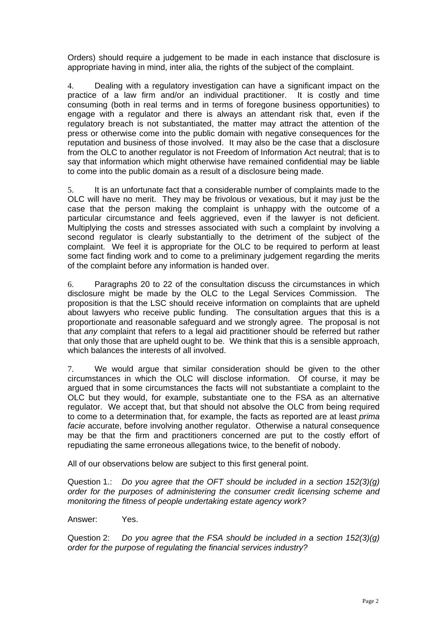Orders) should require a judgement to be made in each instance that disclosure is appropriate having in mind, inter alia, the rights of the subject of the complaint.

4. Dealing with a regulatory investigation can have a significant impact on the practice of a law firm and/or an individual practitioner. It is costly and time consuming (both in real terms and in terms of foregone business opportunities) to engage with a regulator and there is always an attendant risk that, even if the regulatory breach is not substantiated, the matter may attract the attention of the press or otherwise come into the public domain with negative consequences for the reputation and business of those involved. It may also be the case that a disclosure from the OLC to another regulator is not Freedom of Information Act neutral; that is to say that information which might otherwise have remained confidential may be liable to come into the public domain as a result of a disclosure being made.

5. It is an unfortunate fact that a considerable number of complaints made to the OLC will have no merit. They may be frivolous or vexatious, but it may just be the case that the person making the complaint is unhappy with the outcome of a particular circumstance and feels aggrieved, even if the lawyer is not deficient. Multiplying the costs and stresses associated with such a complaint by involving a second regulator is clearly substantially to the detriment of the subject of the complaint. We feel it is appropriate for the OLC to be required to perform at least some fact finding work and to come to a preliminary judgement regarding the merits of the complaint before any information is handed over.

6. Paragraphs 20 to 22 of the consultation discuss the circumstances in which disclosure might be made by the OLC to the Legal Services Commission. The proposition is that the LSC should receive information on complaints that are upheld about lawyers who receive public funding. The consultation argues that this is a proportionate and reasonable safeguard and we strongly agree. The proposal is not that *any* complaint that refers to a legal aid practitioner should be referred but rather that only those that are upheld ought to be. We think that this is a sensible approach, which balances the interests of all involved.

7. We would argue that similar consideration should be given to the other circumstances in which the OLC will disclose information. Of course, it may be argued that in some circumstances the facts will not substantiate a complaint to the OLC but they would, for example, substantiate one to the FSA as an alternative regulator. We accept that, but that should not absolve the OLC from being required to come to a determination that, for example, the facts as reported are at least *prima facie* accurate, before involving another regulator. Otherwise a natural consequence may be that the firm and practitioners concerned are put to the costly effort of repudiating the same erroneous allegations twice, to the benefit of nobody.

All of our observations below are subject to this first general point.

Question 1.: *Do you agree that the OFT should be included in a section 152(3)(g) order for the purposes of administering the consumer credit licensing scheme and monitoring the fitness of people undertaking estate agency work?* 

Answer: Yes.

Question 2: *Do you agree that the FSA should be included in a section 152(3)(g) order for the purpose of regulating the financial services industry?*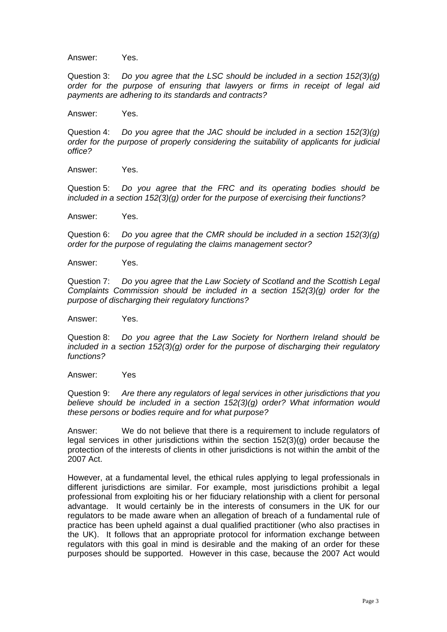Answer: Yes.

Question 3: *Do you agree that the LSC should be included in a section 152(3)(g) order for the purpose of ensuring that lawyers or firms in receipt of legal aid payments are adhering to its standards and contracts?* 

Answer: Yes.

Question 4: *Do you agree that the JAC should be included in a section 152(3)(g) order for the purpose of properly considering the suitability of applicants for judicial office?* 

Answer: Yes.

Question 5: *Do you agree that the FRC and its operating bodies should be included in a section 152(3)(g) order for the purpose of exercising their functions?*

Answer: Yes.

Question 6: *Do you agree that the CMR should be included in a section 152(3)(g) order for the purpose of regulating the claims management sector?* 

Answer: Yes.

Question 7: *Do you agree that the Law Society of Scotland and the Scottish Legal Complaints Commission should be included in a section 152(3)(g) order for the purpose of discharging their regulatory functions?* 

Answer: Yes.

Question 8: *Do you agree that the Law Society for Northern Ireland should be included in a section 152(3)(g) order for the purpose of discharging their regulatory functions?* 

Answer: Yes

Question 9: *Are there any regulators of legal services in other jurisdictions that you believe should be included in a section 152(3)(g) order? What information would these persons or bodies require and for what purpose?* 

Answer: We do not believe that there is a requirement to include regulators of legal services in other jurisdictions within the section  $152(3)(q)$  order because the protection of the interests of clients in other jurisdictions is not within the ambit of the 2007 Act.

However, at a fundamental level, the ethical rules applying to legal professionals in different jurisdictions are similar. For example, most jurisdictions prohibit a legal professional from exploiting his or her fiduciary relationship with a client for personal advantage. It would certainly be in the interests of consumers in the UK for our regulators to be made aware when an allegation of breach of a fundamental rule of practice has been upheld against a dual qualified practitioner (who also practises in the UK). It follows that an appropriate protocol for information exchange between regulators with this goal in mind is desirable and the making of an order for these purposes should be supported. However in this case, because the 2007 Act would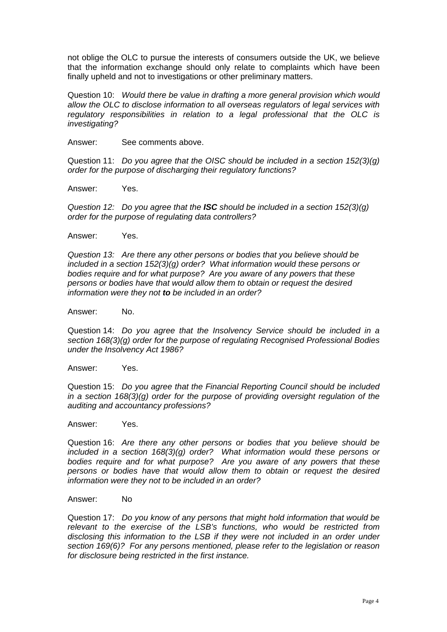not oblige the OLC to pursue the interests of consumers outside the UK, we believe that the information exchange should only relate to complaints which have been finally upheld and not to investigations or other preliminary matters.

Question 10: *Would there be value in drafting a more general provision which would allow the OLC to disclose information to all overseas regulators of legal services with regulatory responsibilities in relation to a legal professional that the OLC is investigating?* 

Answer: See comments above.

Question 11: *Do you agree that the OISC should be included in a section 152(3)(g) order for the purpose of discharging their regulatory functions?*

Answer: Yes.

*Question 12: Do you agree that the ISC should be included in a section 152(3)(g) order for the purpose of regulating data controllers?* 

Answer: Yes.

*Question 13: Are there any other persons or bodies that you believe should be included in a section 152(3)(g) order? What information would these persons or bodies require and for what purpose? Are you aware of any powers that these persons or bodies have that would allow them to obtain or request the desired information were they not to be included in an order?* 

Answer: No.

Question 14: *Do you agree that the Insolvency Service should be included in a section 168(3)(g) order for the purpose of regulating Recognised Professional Bodies under the Insolvency Act 1986?*

Answer: Yes.

Question 15: *Do you agree that the Financial Reporting Council should be included in a section 168(3)(g) order for the purpose of providing oversight regulation of the auditing and accountancy professions?* 

Answer: Yes.

Question 16: *Are there any other persons or bodies that you believe should be included in a section 168(3)(g) order? What information would these persons or bodies require and for what purpose? Are you aware of any powers that these persons or bodies have that would allow them to obtain or request the desired information were they not to be included in an order?* 

Answer: No

Question 17: *Do you know of any persons that might hold information that would be relevant to the exercise of the LSB's functions, who would be restricted from* disclosing this information to the LSB if they were not included in an order under *section 169(6)? For any persons mentioned, please refer to the legislation or reason for disclosure being restricted in the first instance.*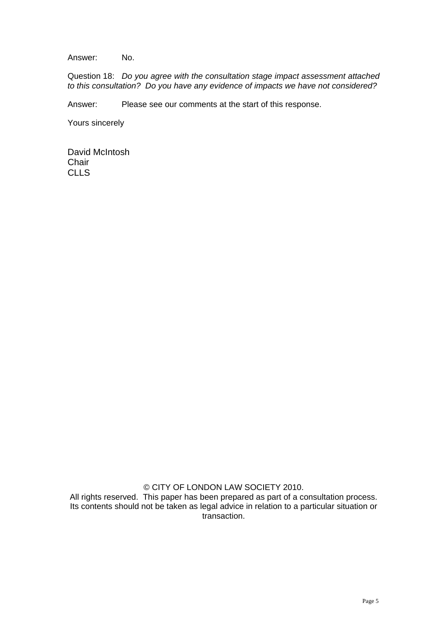Answer: No.

Question 18: *Do you agree with the consultation stage impact assessment attached to this consultation? Do you have any evidence of impacts we have not considered?* 

Answer: Please see our comments at the start of this response.

Yours sincerely

David McIntosh **Chair** CLLS

© CITY OF LONDON LAW SOCIETY 2010.

All rights reserved. This paper has been prepared as part of a consultation process. Its contents should not be taken as legal advice in relation to a particular situation or transaction.